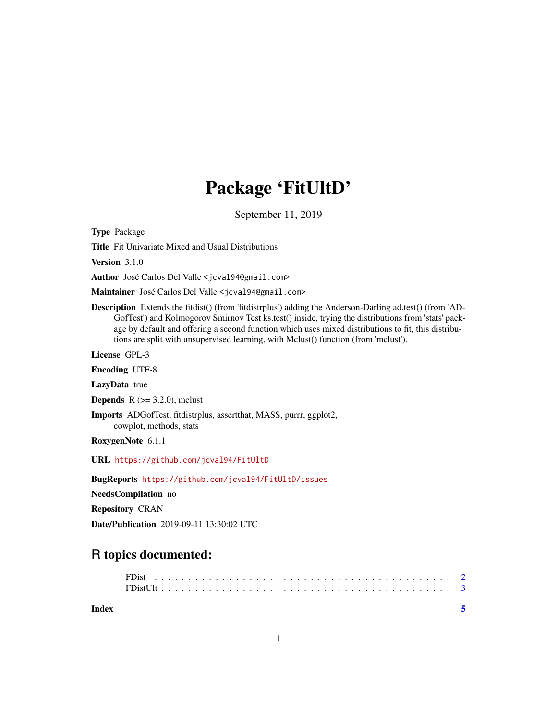# Package 'FitUltD'

September 11, 2019

Type Package

Title Fit Univariate Mixed and Usual Distributions

Version 3.1.0

Author José Carlos Del Valle <jcval94@gmail.com>

Maintainer José Carlos Del Valle <jcval94@gmail.com>

Description Extends the fitdist() (from 'fitdistrplus') adding the Anderson-Darling ad.test() (from 'AD-GofTest') and Kolmogorov Smirnov Test ks.test() inside, trying the distributions from 'stats' package by default and offering a second function which uses mixed distributions to fit, this distributions are split with unsupervised learning, with Mclust() function (from 'mclust').

License GPL-3

Encoding UTF-8

LazyData true

**Depends** R  $(>= 3.2.0)$ , mclust

Imports ADGofTest, fitdistrplus, assertthat, MASS, purrr, ggplot2, cowplot, methods, stats

RoxygenNote 6.1.1

URL <https://github.com/jcval94/FitUltD>

BugReports <https://github.com/jcval94/FitUltD/issues>

NeedsCompilation no

Repository CRAN

Date/Publication 2019-09-11 13:30:02 UTC

## R topics documented:

**Index** [5](#page-4-0). The second state of the second state of the second state of the second state of the second state of the second state of the second state of the second state of the second state of the second state of the second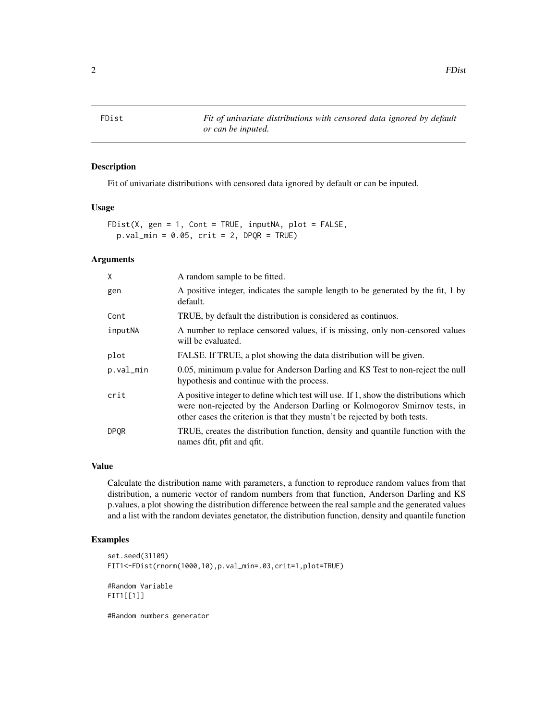<span id="page-1-0"></span>FDist *Fit of univariate distributions with censored data ignored by default or can be inputed.*

#### Description

Fit of univariate distributions with censored data ignored by default or can be inputed.

#### Usage

FDist(X, gen = 1, Cont = TRUE, inputNA, plot = FALSE,  $p.val\_min = 0.05$ ,  $crit = 2$ ,  $DPQR = TRUE$ )

#### Arguments

| X           | A random sample to be fitted.                                                                                                                                                                                                                  |
|-------------|------------------------------------------------------------------------------------------------------------------------------------------------------------------------------------------------------------------------------------------------|
| gen         | A positive integer, indicates the sample length to be generated by the fit, 1 by<br>default.                                                                                                                                                   |
| Cont        | TRUE, by default the distribution is considered as continuos.                                                                                                                                                                                  |
| inputNA     | A number to replace censored values, if is missing, only non-censored values<br>will be evaluated.                                                                                                                                             |
| plot        | FALSE. If TRUE, a plot showing the data distribution will be given.                                                                                                                                                                            |
| p.val_min   | 0.05, minimum p.value for Anderson Darling and KS Test to non-reject the null<br>hypothesis and continue with the process.                                                                                                                     |
| crit        | A positive integer to define which test will use. If 1, show the distributions which<br>were non-rejected by the Anderson Darling or Kolmogorov Smirnov tests, in<br>other cases the criterion is that they mustn't be rejected by both tests. |
| <b>DPOR</b> | TRUE, creates the distribution function, density and quantile function with the<br>names dfit, pfit and qfit.                                                                                                                                  |

#### Value

Calculate the distribution name with parameters, a function to reproduce random values from that distribution, a numeric vector of random numbers from that function, Anderson Darling and KS p.values, a plot showing the distribution difference between the real sample and the generated values and a list with the random deviates genetator, the distribution function, density and quantile function

#### Examples

```
set.seed(31109)
FIT1<-FDist(rnorm(1000,10),p.val_min=.03,crit=1,plot=TRUE)
#Random Variable
FIT1[[1]]
```
#Random numbers generator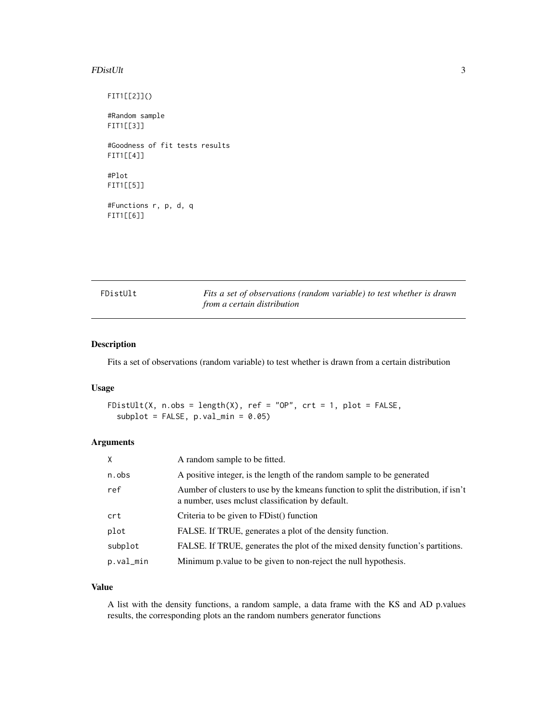#### <span id="page-2-0"></span> $FDistUlt$   $3$

FIT1[[2]]() #Random sample FIT1[[3]] #Goodness of fit tests results FIT1[[4]] #Plot FIT1[[5]]

#Functions r, p, d, q FIT1[[6]]

| FDistUlt | Fits a set of observations (random variable) to test whether is drawn |
|----------|-----------------------------------------------------------------------|
|          | from a certain distribution                                           |

#### Description

Fits a set of observations (random variable) to test whether is drawn from a certain distribution

#### Usage

```
FDistUlt(X, n.obs = length(X), ref = "OP", \text{crt} = 1, \text{plot} = \text{FALSE},
  subplot = FALSE, p.val.min = 0.05)
```
#### Arguments

| $\times$  | A random sample to be fitted.                                                                                                            |
|-----------|------------------------------------------------------------------------------------------------------------------------------------------|
| n.obs     | A positive integer, is the length of the random sample to be generated                                                                   |
| ref       | Aumber of clusters to use by the kmeans function to split the distribution, if isn't<br>a number, uses melust classification by default. |
| crt       | Criteria to be given to FDist() function                                                                                                 |
| plot      | FALSE. If TRUE, generates a plot of the density function.                                                                                |
| subplot   | FALSE. If TRUE, generates the plot of the mixed density function's partitions.                                                           |
| p.val_min | Minimum p. value to be given to non-reject the null hypothesis.                                                                          |

#### Value

A list with the density functions, a random sample, a data frame with the KS and AD p.values results, the corresponding plots an the random numbers generator functions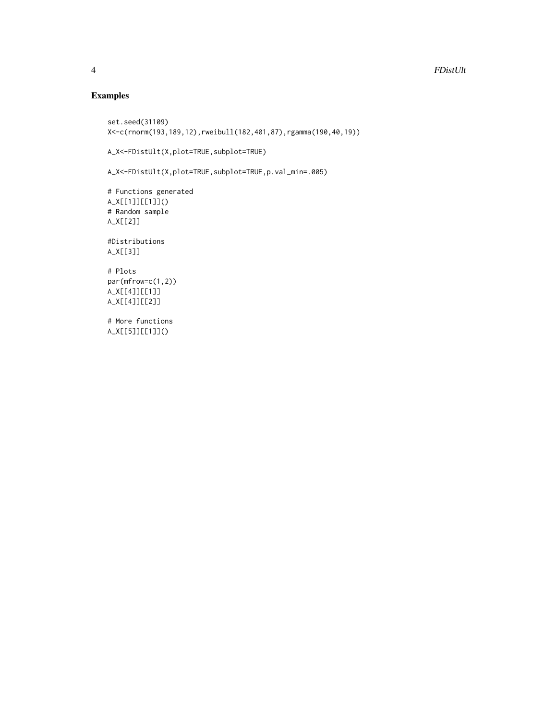### Examples

```
set.seed(31109)
X<-c(rnorm(193,189,12),rweibull(182,401,87),rgamma(190,40,19))
A_X<-FDistUlt(X,plot=TRUE,subplot=TRUE)
A_X<-FDistUlt(X,plot=TRUE,subplot=TRUE,p.val_min=.005)
# Functions generated
A_X[[1]][[1]]()
# Random sample
A_X[[2]]
#Distributions
A_X[[3]]
# Plots
par(mfrow=c(1,2))
A_X[[4]][[1]]
A_X[[4]][[2]]
# More functions
A_X[[5]][[1]]()
```